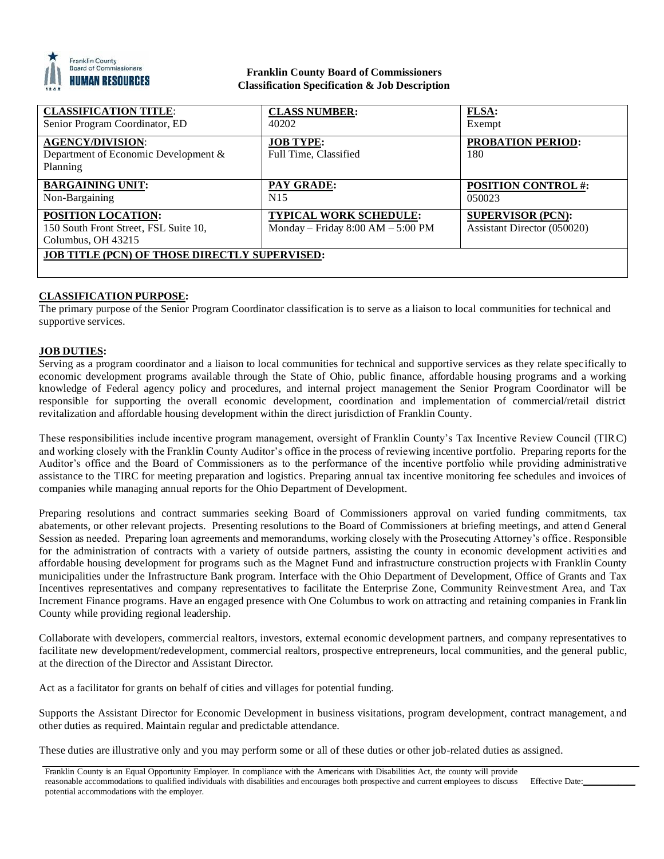

## **Franklin County Board of Commissioners Classification Specification & Job Description**

| <b>CLASSIFICATION TITLE:</b>                         | <b>CLASS NUMBER:</b>                | <b>FLSA:</b>                |
|------------------------------------------------------|-------------------------------------|-----------------------------|
| Senior Program Coordinator, ED                       | 40202                               | Exempt                      |
| <b>AGENCY/DIVISION:</b>                              | <b>JOB TYPE:</b>                    | PROBATION PERIOD:           |
| Department of Economic Development &                 | Full Time, Classified               | 180                         |
| Planning                                             |                                     |                             |
| <b>BARGAINING UNIT:</b>                              | PAY GRADE:                          | <b>POSITION CONTROL#:</b>   |
| Non-Bargaining                                       | N <sub>15</sub>                     | 050023                      |
| <b>POSITION LOCATION:</b>                            | <b>TYPICAL WORK SCHEDULE:</b>       | <b>SUPERVISOR (PCN):</b>    |
| 150 South Front Street, FSL Suite 10,                | Monday – Friday $8:00 AM - 5:00 PM$ | Assistant Director (050020) |
| Columbus, OH 43215                                   |                                     |                             |
| <b>JOB TITLE (PCN) OF THOSE DIRECTLY SUPERVISED:</b> |                                     |                             |
|                                                      |                                     |                             |

# **CLASSIFICATION PURPOSE:**

The primary purpose of the Senior Program Coordinator classification is to serve as a liaison to local communities for technical and supportive services.

# **JOB DUTIES:**

Serving as a program coordinator and a liaison to local communities for technical and supportive services as they relate specifically to economic development programs available through the State of Ohio, public finance, affordable housing programs and a working knowledge of Federal agency policy and procedures, and internal project management the Senior Program Coordinator will be responsible for supporting the overall economic development, coordination and implementation of commercial/retail district revitalization and affordable housing development within the direct jurisdiction of Franklin County.

These responsibilities include incentive program management, oversight of Franklin County's Tax Incentive Review Council (TIRC) and working closely with the Franklin County Auditor's office in the process of reviewing incentive portfolio. Preparing reports for the Auditor's office and the Board of Commissioners as to the performance of the incentive portfolio while providing administrative assistance to the TIRC for meeting preparation and logistics. Preparing annual tax incentive monitoring fee schedules and invoices of companies while managing annual reports for the Ohio Department of Development.

Preparing resolutions and contract summaries seeking Board of Commissioners approval on varied funding commitments, tax abatements, or other relevant projects. Presenting resolutions to the Board of Commissioners at briefing meetings, and attend General Session as needed. Preparing loan agreements and memorandums, working closely with the Prosecuting Attorney's office. Responsible for the administration of contracts with a variety of outside partners, assisting the county in economic development activities and affordable housing development for programs such as the Magnet Fund and infrastructure construction projects with Franklin County municipalities under the Infrastructure Bank program. Interface with the Ohio Department of Development, Office of Grants and Tax Incentives representatives and company representatives to facilitate the Enterprise Zone, Community Reinvestment Area, and Tax Increment Finance programs. Have an engaged presence with One Columbus to work on attracting and retaining companies in Franklin County while providing regional leadership.

Collaborate with developers, commercial realtors, investors, external economic development partners, and company representatives to facilitate new development/redevelopment, commercial realtors, prospective entrepreneurs, local communities, and the general public, at the direction of the Director and Assistant Director.

Act as a facilitator for grants on behalf of cities and villages for potential funding.

Supports the Assistant Director for Economic Development in business visitations, program development, contract management, and other duties as required. Maintain regular and predictable attendance.

These duties are illustrative only and you may perform some or all of these duties or other job-related duties as assigned.

Franklin County is an Equal Opportunity Employer. In compliance with the Americans with Disabilities Act, the county will provide reasonable accommodations to qualified individuals with disabilities and encourages both prospective and current employees to discuss potential accommodations with the employer. Effective Date: